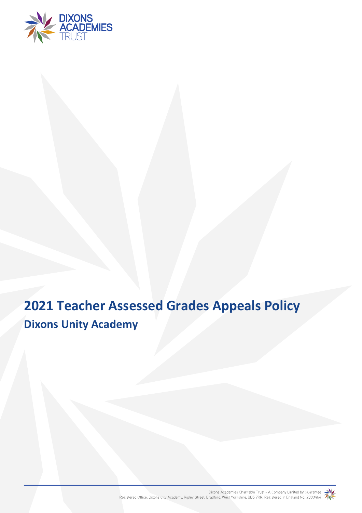

# **2021 Teacher Assessed Grades Appeals Policy Dixons Unity Academy**

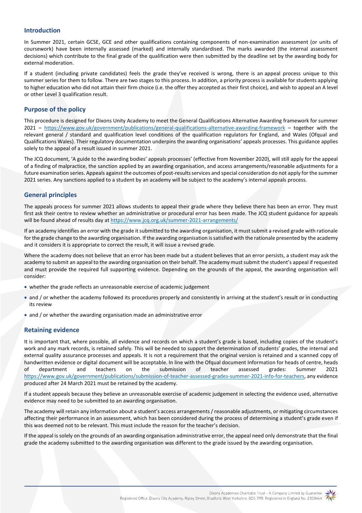## **Introduction**

In Summer 2021, certain GCSE, GCE and other qualifications containing components of non-examination assessment (or units of coursework) have been internally assessed (marked) and internally standardised. The marks awarded (the internal assessment decisions) which contribute to the final grade of the qualification were then submitted by the deadline set by the awarding body for external moderation.

If a student (including private candidates) feels the grade they've received is wrong, there is an appeal process unique to this summer series for them to follow. There are two stages to this process. In addition, a priority process is available for students applying to higher education who did not attain their firm choice (i.e. the offer they accepted as their first choice), and wish to appeal an A level or other Level 3 qualification result.

# **Purpose of the policy**

This procedure is designed for Dixons Unity Academy to meet the General Qualifications Alternative Awarding framework for summer 2021 – <https://www.gov.uk/government/publications/general-qualifications-alternative-awarding-framework> – together with the relevant general / standard and qualification level conditions of the qualification regulators for England, and Wales (Ofqual and Qualifications Wales). Their regulatory documentation underpins the awarding organisations' appeals processes. This guidance applies solely to the appeal of a result issued in summer 2021.

The JCQ document, 'A guide to the awarding bodies' appeals processes' (effective from November 2020), will still apply for the appeal of a finding of malpractice, the sanction applied by an awarding organisation, and access arrangements/reasonable adjustments for a future examination series. Appeals against the outcomes of post-results services and special consideration do not apply for the summer 2021 series. Any sanctions applied to a student by an academy will be subject to the academy's internal appeals process.

# **General principles**

The appeals process for summer 2021 allows students to appeal their grade where they believe there has been an error. They must first ask their centre to review whether an administrative or procedural error has been made. The JCQ student guidance for appeals will be found ahead of results day at<https://www.jcq.org.uk/summer-2021-arrangements/>

If an academy identifies an error with the grade it submitted to the awarding organisation, it must submit a revised grade with rationale for the grade change to the awarding organisation. If the awarding organisation is satisfied with the rationale presented by the academy and it considers it is appropriate to correct the result, it will issue a revised grade.

Where the academy does not believe that an error has been made but a student believes that an error persists, a student may ask the academy to submit an appeal to the awarding organisation on their behalf. The academy must submit the student's appeal if requested and must provide the required full supporting evidence. Depending on the grounds of the appeal, the awarding organisation will consider:

- whether the grade reflects an unreasonable exercise of academic judgement
- and / or whether the academy followed its procedures properly and consistently in arriving at the student's result or in conducting its review
- and / or whether the awarding organisation made an administrative error

## **Retaining evidence**

It is important that, where possible, all evidence and records on which a student's grade is based, including copies of the student's work and any mark records, is retained safely. This will be needed to support the determination of students' grades, the internal and external quality assurance processes and appeals. It is not a requirement that the original version is retained and a scanned copy of handwritten evidence or digital document will be acceptable. In line with the Ofqual document Information for heads of centre, heads of department and teachers on the submission of teacher assessed grades: Summer 2021 [https://www.gov.uk/government/publications/submission-of-teacher-assessed-grades-summer-2021-info-for-teachers,](https://www.gov.uk/government/publications/submission-of-teacher-assessed-grades-summer-2021-info-for-teachers) any evidence produced after 24 March 2021 must be retained by the academy.

If a student appeals because they believe an unreasonable exercise of academic judgement in selecting the evidence used, alternative evidence may need to be submitted to an awarding organisation.

The academy will retain any information about a student's access arrangements / reasonable adjustments, or mitigating circumstances affecting their performance in an assessment, which has been considered during the process of determining a student's grade even if this was deemed not to be relevant. This must include the reason for the teacher's decision.

If the appeal is solely on the grounds of an awarding organisation administrative error, the appeal need only demonstrate that the final grade the academy submitted to the awarding organisation was different to the grade issued by the awarding organisation.

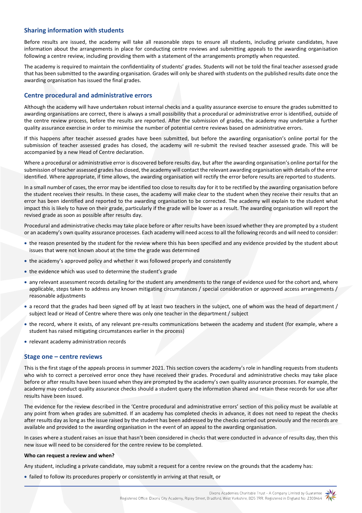## **Sharing information with students**

Before results are issued, the academy will take all reasonable steps to ensure all students, including private candidates, have information about the arrangements in place for conducting centre reviews and submitting appeals to the awarding organisation following a centre review, including providing them with a statement of the arrangements promptly when requested.

The academy is required to maintain the confidentiality of students' grades. Students will not be told the final teacher assessed grade that has been submitted to the awarding organisation. Grades will only be shared with students on the published results date once the awarding organisation has issued the final grades.

## **Centre procedural and administrative errors**

Although the academy will have undertaken robust internal checks and a quality assurance exercise to ensure the grades submitted to awarding organisations are correct, there is always a small possibility that a procedural or administrative error is identified, outside of the centre review process, before the results are reported. After the submission of grades, the academy may undertake a further quality assurance exercise in order to minimise the number of potential centre reviews based on administrative errors.

If this happens after teacher assessed grades have been submitted, but before the awarding organisation's online portal for the submission of teacher assessed grades has closed, the academy will re-submit the revised teacher assessed grade. This will be accompanied by a new Head of Centre declaration.

Where a procedural or administrative error is discovered before results day, but after the awarding organisation's online portal for the submission of teacher assessed grades has closed, the academy will contact the relevant awarding organisation with details of the error identified. Where appropriate, if time allows, the awarding organisation will rectify the error before results are reported to students.

In a small number of cases, the error may be identified too close to results day for it to be rectified by the awarding organisation before the student receives their results. In these cases, the academy will make clear to the student when they receive their results that an error has been identified and reported to the awarding organisation to be corrected. The academy will explain to the student what impact this is likely to have on their grade, particularly if the grade will be lower as a result. The awarding organisation will report the revised grade as soon as possible after results day.

Procedural and administrative checks may take place before or after results have been issued whether they are prompted by a student or an academy's own quality assurance processes. Each academy will need access to all the following records and will need to consider:

- the reason presented by the student for the review where this has been specified and any evidence provided by the student about issues that were not known about at the time the grade was determined
- the academy's approved policy and whether it was followed properly and consistently
- the evidence which was used to determine the student's grade
- any relevant assessment records detailing for the student any amendments to the range of evidence used for the cohort and, where applicable, steps taken to address any known mitigating circumstances / special consideration or approved access arrangements / reasonable adjustments
- a record that the grades had been signed off by at least two teachers in the subject, one of whom was the head of department / subject lead or Head of Centre where there was only one teacher in the department / subject
- the record, where it exists, of any relevant pre-results communications between the academy and student (for example, where a student has raised mitigating circumstances earlier in the process)
- relevant academy administration records

## **Stage one – centre reviews**

This is the first stage of the appeals process in summer 2021. This section covers the academy's role in handling requests from students who wish to correct a perceived error once they have received their grades. Procedural and administrative checks may take place before or after results have been issued when they are prompted by the academy's own quality assurance processes. For example, the academy may conduct quality assurance checks should a student query the information shared and retain these records for use after results have been issued.

The evidence for the review described in the 'Centre procedural and administrative errors' section of this policy must be available at any point from when grades are submitted. If an academy has completed checks in advance, it does not need to repeat the checks after results day as long as the issue raised by the student has been addressed by the checks carried out previously and the records are available and provided to the awarding organisation in the event of an appeal to the awarding organisation.

In cases where a student raises an issue that hasn't been considered in checks that were conducted in advance of results day, then this new issue will need to be considered for the centre review to be completed.

#### **Who can request a review and when?**

Any student, including a private candidate, may submit a request for a centre review on the grounds that the academy has:

failed to follow its procedures properly or consistently in arriving at that result, or

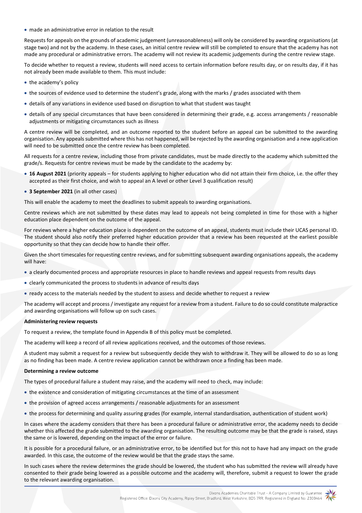made an administrative error in relation to the result

Requests for appeals on the grounds of academic judgement (unreasonableness) will only be considered by awarding organisations (at stage two) and not by the academy. In these cases, an initial centre review will still be completed to ensure that the academy has not made any procedural or administrative errors. The academy will not review its academic judgements during the centre review stage.

To decide whether to request a review, students will need access to certain information before results day, or on results day, if it has not already been made available to them. This must include:

- the academy's policy
- the sources of evidence used to determine the student's grade, along with the marks / grades associated with them
- details of any variations in evidence used based on disruption to what that student was taught
- details of any special circumstances that have been considered in determining their grade, e.g. access arrangements / reasonable adjustments or mitigating circumstances such as illness

A centre review will be completed, and an outcome reported to the student before an appeal can be submitted to the awarding organisation. Any appeals submitted where this has not happened, will be rejected by the awarding organisation and a new application will need to be submitted once the centre review has been completed.

All requests for a centre review, including those from private candidates, must be made directly to the academy which submitted the grade/s. Requests for centre reviews must be made by the candidate to the academy by:

- **16 August 2021** (priority appeals for students applying to higher education who did not attain their firm choice, i.e. the offer they accepted as their first choice, and wish to appeal an A level or other Level 3 qualification result)
- **3 September 2021** (in all other cases)

This will enable the academy to meet the deadlines to submit appeals to awarding organisations.

Centre reviews which are not submitted by these dates may lead to appeals not being completed in time for those with a higher education place dependent on the outcome of the appeal.

For reviews where a higher education place is dependent on the outcome of an appeal, students must include their UCAS personal ID. The student should also notify their preferred higher education provider that a review has been requested at the earliest possible opportunity so that they can decide how to handle their offer.

Given the short timescales for requesting centre reviews, and for submitting subsequent awarding organisations appeals, the academy will have:

- a clearly documented process and appropriate resources in place to handle reviews and appeal requests from results days
- clearly communicated the process to students in advance of results days
- ready access to the materials needed by the student to assess and decide whether to request a review

The academy will accept and process / investigate any request for a review from a student. Failure to do so could constitute malpractice and awarding organisations will follow up on such cases.

#### **Administering review requests**

To request a review, the template found in Appendix B of this policy must be completed.

The academy will keep a record of all review applications received, and the outcomes of those reviews.

A student may submit a request for a review but subsequently decide they wish to withdraw it. They will be allowed to do so as long as no finding has been made. A centre review application cannot be withdrawn once a finding has been made.

#### **Determining a review outcome**

The types of procedural failure a student may raise, and the academy will need to check, may include:

- the existence and consideration of mitigating circumstances at the time of an assessment
- the provision of agreed access arrangements / reasonable adjustments for an assessment
- the process for determining and quality assuring grades (for example, internal standardisation, authentication of student work)

In cases where the academy considers that there has been a procedural failure or administrative error, the academy needs to decide whether this affected the grade submitted to the awarding organisation. The resulting outcome may be that the grade is raised, stays the same or is lowered, depending on the impact of the error or failure.

It is possible for a procedural failure, or an administrative error, to be identified but for this not to have had any impact on the grade awarded. In this case, the outcome of the review would be that the grade stays the same.

In such cases where the review determines the grade should be lowered, the student who has submitted the review will already have consented to their grade being lowered as a possible outcome and the academy will, therefore, submit a request to lower the grade to the relevant awarding organisation.

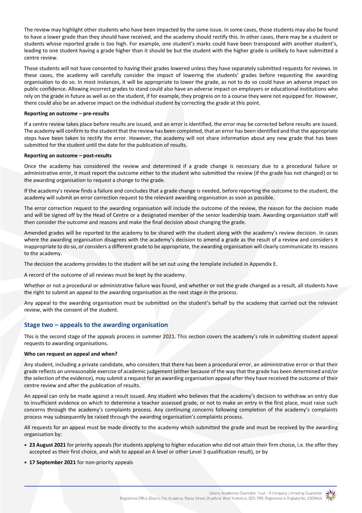The review may highlight other students who have been impacted by the same issue. In some cases, those students may also be found to have a lower grade than they should have received, and the academy should rectify this. In other cases, there may be a student or students whose reported grade is too high. For example, one student's marks could have been transposed with another student's, leading to one student having a grade higher than it should be but the student with the higher grade is unlikely to have submitted a centre review.

These students will not have consented to having their grades lowered unless they have separately submitted requests for reviews. In these cases, the academy will carefully consider the impact of lowering the students' grades before requesting the awarding organisation to do so. In most instances, it will be appropriate to lower the grade, as not to do so could have an adverse impact on public confidence. Allowing incorrect grades to stand could also have an adverse impact on employers or educational institutions who rely on the grade in future as well as on the student, if for example, they progress on to a course they were not equipped for. However, there could also be an adverse impact on the individual student by correcting the grade at this point.

#### **Reporting an outcome – pre-results**

If a centre review takes place before results are issued, and an error is identified, the error may be corrected before results are issued. The academy will confirm to the student that the review has been completed, that an error has been identified and that the appropriate steps have been taken to rectify the error. However, the academy will not share information about any new grade that has been submitted for the student until the date for the publication of results.

#### **Reporting an outcome – post-results**

Once the academy has considered the review and determined if a grade change is necessary due to a procedural failure or administrative error, it must report the outcome either to the student who submitted the review (if the grade has not changed) or to the awarding organisation to request a change to the grade.

If the academy's review finds a failure and concludes that a grade change is needed, before reporting the outcome to the student, the academy will submit an error correction request to the relevant awarding organisation as soon as possible.

The error correction request to the awarding organisation will include the outcome of the review, the reason for the decision made and will be signed off by the Head of Centre or a designated member of the senior leadership team. Awarding organisation staff will then consider the outcome and reasons and make the final decision about changing the grade.

Amended grades will be reported to the academy to be shared with the student along with the academy's review decision. In cases where the awarding organisation disagrees with the academy's decision to amend a grade as the result of a review and considers it inappropriate to do so, or considers a different grade to be appropriate, the awarding organisation will clearly communicate its reasons to the academy.

The decision the academy provides to the student will be set out using the template included in Appendix E.

A record of the outcome of all reviews must be kept by the academy.

Whether or not a procedural or administrative failure was found, and whether or not the grade changed as a result, all students have the right to submit an appeal to the awarding organisation as the next stage in the process.

Any appeal to the awarding organisation must be submitted on the student's behalf by the academy that carried out the relevant review, with the consent of the student.

## **Stage two – appeals to the awarding organisation**

This is the second stage of the appeals process in summer 2021. This section covers the academy's role in submitting student appeal requests to awarding organisations.

## **Who can request an appeal and when?**

Any student, including a private candidate, who considers that there has been a procedural error, an administrative error or that their grade reflects an unreasonable exercise of academic judgement (either because of the way that the grade has been determined and/or the selection of the evidence), may submit a request for an awarding organisation appeal after they have received the outcome of their centre review and after the publication of results.

An appeal can only be made against a result issued. Any student who believes that the academy's decision to withdraw an entry due to insufficient evidence on which to determine a teacher assessed grade, or not to make an entry in the first place, must raise such concerns through the academy's complaints process. Any continuing concerns following completion of the academy's complaints process may subsequently be raised through the awarding organisation's complaints process.

All requests for an appeal must be made directly to the academy which submitted the grade and must be received by the awarding organisation by:

- **23 August 2021** for priority appeals (for students applying to higher education who did not attain their firm choice, i.e. the offer they accepted as their first choice, and wish to appeal an A level or other Level 3 qualification result), or by
- **17 September 2021** for non-priority appeals

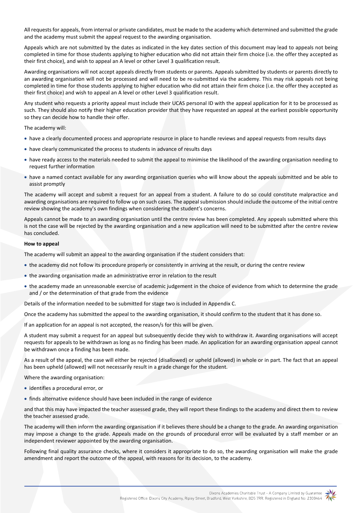All requests for appeals, from internal or private candidates, must be made to the academy which determined and submitted the grade and the academy must submit the appeal request to the awarding organisation.

Appeals which are not submitted by the dates as indicated in the key dates section of this document may lead to appeals not being completed in time for those students applying to higher education who did not attain their firm choice (i.e. the offer they accepted as their first choice), and wish to appeal an A level or other Level 3 qualification result.

Awarding organisations will not accept appeals directly from students or parents. Appeals submitted by students or parents directly to an awarding organisation will not be processed and will need to be re-submitted via the academy. This may risk appeals not being completed in time for those students applying to higher education who did not attain their firm choice (i.e. the offer they accepted as their first choice) and wish to appeal an A level or other Level 3 qualification result.

Any student who requests a priority appeal must include their UCAS personal ID with the appeal application for it to be processed as such. They should also notify their higher education provider that they have requested an appeal at the earliest possible opportunity so they can decide how to handle their offer.

The academy will:

- have a clearly documented process and appropriate resource in place to handle reviews and appeal requests from results days
- have clearly communicated the process to students in advance of results days
- have ready access to the materials needed to submit the appeal to minimise the likelihood of the awarding organisation needing to request further information
- have a named contact available for any awarding organisation queries who will know about the appeals submitted and be able to assist promptly

The academy will accept and submit a request for an appeal from a student. A failure to do so could constitute malpractice and awarding organisations are required to follow up on such cases. The appeal submission should include the outcome of the initial centre review showing the academy's own findings when considering the student's concerns.

Appeals cannot be made to an awarding organisation until the centre review has been completed. Any appeals submitted where this is not the case will be rejected by the awarding organisation and a new application will need to be submitted after the centre review has concluded.

#### **How to appeal**

The academy will submit an appeal to the awarding organisation if the student considers that:

- the academy did not follow its procedure properly or consistently in arriving at the result, or during the centre review
- the awarding organisation made an administrative error in relation to the result
- the academy made an unreasonable exercise of academic judgement in the choice of evidence from which to determine the grade and / or the determination of that grade from the evidence

Details of the information needed to be submitted for stage two is included in Appendix C.

Once the academy has submitted the appeal to the awarding organisation, it should confirm to the student that it has done so.

If an application for an appeal is not accepted, the reason/s for this will be given.

A student may submit a request for an appeal but subsequently decide they wish to withdraw it. Awarding organisations will accept requests for appeals to be withdrawn as long as no finding has been made. An application for an awarding organisation appeal cannot be withdrawn once a finding has been made.

As a result of the appeal, the case will either be rejected (disallowed) or upheld (allowed) in whole or in part. The fact that an appeal has been upheld (allowed) will not necessarily result in a grade change for the student.

Where the awarding organisation:

- identifies a procedural error, or
- finds alternative evidence should have been included in the range of evidence

and that this may have impacted the teacher assessed grade, they will report these findings to the academy and direct them to review the teacher assessed grade.

The academy will then inform the awarding organisation if it believes there should be a change to the grade. An awarding organisation may impose a change to the grade. Appeals made on the grounds of procedural error will be evaluated by a staff member or an independent reviewer appointed by the awarding organisation.

Following final quality assurance checks, where it considers it appropriate to do so, the awarding organisation will make the grade amendment and report the outcome of the appeal, with reasons for its decision, to the academy.

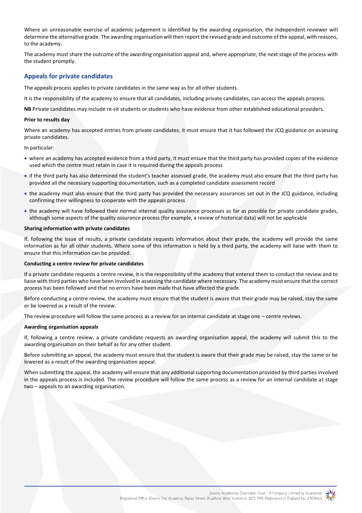Where an unreasonable exercise of academic judgement is identified by the awarding organisation, the independent reviewer will determine the alternative grade. The awarding organisation will then report the revised grade and outcome of the appeal, with reasons, to the academy.

The academy must share the outcome of the awarding organisation appeal and, where appropriate, the next stage of the process with the student promptly.

## **Appeals for private candidates**

The appeals process applies to private candidates in the same way as for all other students.

It is the responsibility of the academy to ensure that all candidates, including private candidates, can access the appeals process.

**NB** Private candidates may include re-sit students or students who have evidence from other established educational providers.

#### **Prior to results day**

Where an academy has accepted entries from private candidates, it must ensure that it has followed the JCQ guidance on assessing private candidates.

In particular:

- where an academy has accepted evidence from a third party, it must ensure that the third party has provided copies of the evidence used which the centre must retain in case it is required during the appeals process
- if the third party has also determined the student's teacher assessed grade, the academy must also ensure that the third party has provided all the necessary supporting documentation, such as a completed candidate assessment record
- the academy must also ensure that the third party has provided the necessary assurances set out in the JCQ guidance, including confirming their willingness to cooperate with the appeals process
- the academy will have followed their normal internal quality assurance processes as far as possible for private candidate grades, although some aspects of the quality assurance process (for example, a review of historical data) will not be applicable

#### **Sharing information with private candidates**

If, following the issue of results, a private candidate requests information about their grade, the academy will provide the same information as for all other students. Where some of this information is held by a third party, the academy will liaise with them to ensure that this information can be provided.

#### **Conducting a centre review for private candidates**

If a private candidate requests a centre review, it is the responsibility of the academy that entered them to conduct the review and to liaise with third parties who have been involved in assessing the candidate where necessary. The academy must ensure that the correct process has been followed and that no errors have been made that have affected the grade.

Before conducting a centre review, the academy must ensure that the student is aware that their grade may be raised, stay the same or be lowered as a result of the review.

The review procedure will follow the same process as a review for an internal candidate at stage one – centre reviews.

#### **Awarding organisation appeals**

If, following a centre review, a private candidate requests an awarding organisation appeal, the academy will submit this to the awarding organisation on their behalf as for any other student.

Before submitting an appeal, the academy must ensure that the student is aware that their grade may be raised, stay the same or be lowered as a result of the awarding organisation appeal.

When submitting the appeal, the academy will ensure that any additional supporting documentation provided by third parties involved in the appeals process is included. The review procedure will follow the same process as a review for an internal candidate at stage two – appeals to an awarding organisation.

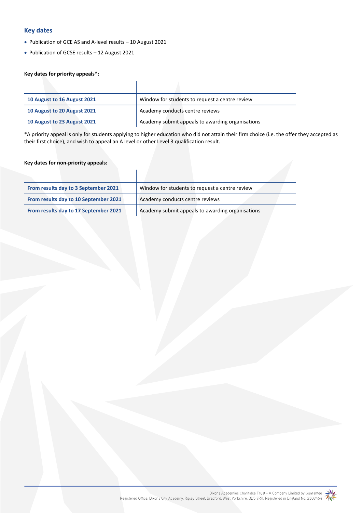# **Key dates**

- Publication of GCE AS and A-level results 10 August 2021
- Publication of GCSE results 12 August 2021

## **Key dates for priority appeals\*:**

| 10 August to 16 August 2021 | Window for students to request a centre review   |
|-----------------------------|--------------------------------------------------|
| 10 August to 20 August 2021 | Academy conducts centre reviews                  |
| 10 August to 23 August 2021 | Academy submit appeals to awarding organisations |

\*A priority appeal is only for students applying to higher education who did not attain their firm choice (i.e. the offer they accepted as their first choice), and wish to appeal an A level or other Level 3 qualification result.

## **Key dates for non-priority appeals:**

| From results day to 3 September 2021  | Window for students to request a centre review   |
|---------------------------------------|--------------------------------------------------|
| From results day to 10 September 2021 | Academy conducts centre reviews                  |
| From results day to 17 September 2021 | Academy submit appeals to awarding organisations |

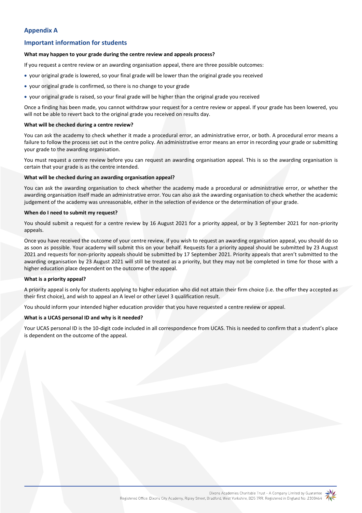# **Appendix A**

# **Important information for students**

#### **What may happen to your grade during the centre review and appeals process?**

If you request a centre review or an awarding organisation appeal, there are three possible outcomes:

- your original grade is lowered, so your final grade will be lower than the original grade you received
- your original grade is confirmed, so there is no change to your grade
- your original grade is raised, so your final grade will be higher than the original grade you received

Once a finding has been made, you cannot withdraw your request for a centre review or appeal. If your grade has been lowered, you will not be able to revert back to the original grade you received on results day.

## **What will be checked during a centre review?**

You can ask the academy to check whether it made a procedural error, an administrative error, or both. A procedural error means a failure to follow the process set out in the centre policy. An administrative error means an error in recording your grade or submitting your grade to the awarding organisation.

You must request a centre review before you can request an awarding organisation appeal. This is so the awarding organisation is certain that your grade is as the centre intended.

## **What will be checked during an awarding organisation appeal?**

You can ask the awarding organisation to check whether the academy made a procedural or administrative error, or whether the awarding organisation itself made an administrative error. You can also ask the awarding organisation to check whether the academic judgement of the academy was unreasonable, either in the selection of evidence or the determination of your grade.

## **When do I need to submit my request?**

You should submit a request for a centre review by 16 August 2021 for a priority appeal, or by 3 September 2021 for non-priority appeals.

Once you have received the outcome of your centre review, if you wish to request an awarding organisation appeal, you should do so as soon as possible. Your academy will submit this on your behalf. Requests for a priority appeal should be submitted by 23 August 2021 and requests for non-priority appeals should be submitted by 17 September 2021. Priority appeals that aren't submitted to the awarding organisation by 23 August 2021 will still be treated as a priority, but they may not be completed in time for those with a higher education place dependent on the outcome of the appeal.

## **What is a priority appeal?**

A priority appeal is only for students applying to higher education who did not attain their firm choice (i.e. the offer they accepted as their first choice), and wish to appeal an A level or other Level 3 qualification result.

You should inform your intended higher education provider that you have requested a centre review or appeal.

## **What is a UCAS personal ID and why is it needed?**

Your UCAS personal ID is the 10-digit code included in all correspondence from UCAS. This is needed to confirm that a student's place is dependent on the outcome of the appeal.

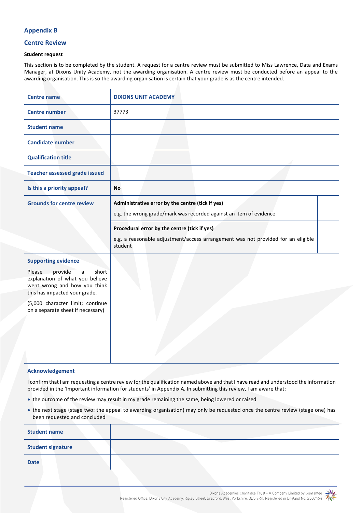## **Appendix B**

## **Centre Review**

#### **Student request**

This section is to be completed by the student. A request for a centre review must be submitted to Miss Lawrence, Data and Exams Manager, at Dixons Unity Academy, not the awarding organisation. A centre review must be conducted before an appeal to the awarding organisation. This is so the awarding organisation is certain that your grade is as the centre intended.

| <b>Centre name</b>                                                                                                                                                                                                                         | <b>DIXONS UNIT ACADEMY</b>                                                                                                                                                                                                                                            |
|--------------------------------------------------------------------------------------------------------------------------------------------------------------------------------------------------------------------------------------------|-----------------------------------------------------------------------------------------------------------------------------------------------------------------------------------------------------------------------------------------------------------------------|
| <b>Centre number</b>                                                                                                                                                                                                                       | 37773                                                                                                                                                                                                                                                                 |
| <b>Student name</b>                                                                                                                                                                                                                        |                                                                                                                                                                                                                                                                       |
| <b>Candidate number</b>                                                                                                                                                                                                                    |                                                                                                                                                                                                                                                                       |
| <b>Qualification title</b>                                                                                                                                                                                                                 |                                                                                                                                                                                                                                                                       |
| <b>Teacher assessed grade issued</b>                                                                                                                                                                                                       |                                                                                                                                                                                                                                                                       |
| Is this a priority appeal?                                                                                                                                                                                                                 | <b>No</b>                                                                                                                                                                                                                                                             |
| <b>Grounds for centre review</b>                                                                                                                                                                                                           | Administrative error by the centre (tick if yes)<br>e.g. the wrong grade/mark was recorded against an item of evidence<br>Procedural error by the centre (tick if yes)<br>e.g. a reasonable adjustment/access arrangement was not provided for an eligible<br>student |
| <b>Supporting evidence</b><br>Please<br>provide<br>short<br>a<br>explanation of what you believe<br>went wrong and how you think<br>this has impacted your grade.<br>(5,000 character limit; continue<br>on a separate sheet if necessary) |                                                                                                                                                                                                                                                                       |

## **Acknowledgement**

I confirm that I am requesting a centre review for the qualification named above and that I have read and understood the information provided in the 'Important information for students' in Appendix A. In submitting this review, I am aware that:

- the outcome of the review may result in my grade remaining the same, being lowered or raised
- the next stage (stage two: the appeal to awarding organisation) may only be requested once the centre review (stage one) has been requested and concluded

| <b>Student name</b>      |  |
|--------------------------|--|
| <b>Student signature</b> |  |
| <b>Date</b>              |  |

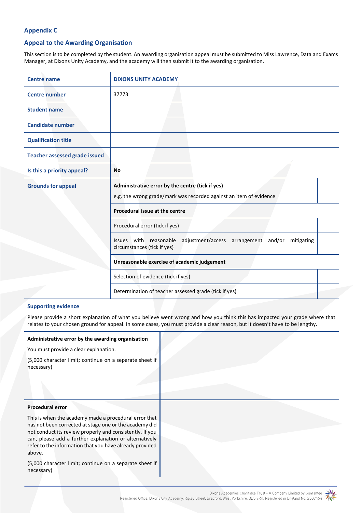# **Appendix C**

# **Appeal to the Awarding Organisation**

This section is to be completed by the student. An awarding organisation appeal must be submitted to Miss Lawrence, Data and Exams Manager, at Dixons Unity Academy, and the academy will then submit it to the awarding organisation.

| <b>Centre name</b>                   | <b>DIXONS UNITY ACADEMY</b>                                                                                            |
|--------------------------------------|------------------------------------------------------------------------------------------------------------------------|
| <b>Centre</b> number                 | 37773                                                                                                                  |
| <b>Student name</b>                  |                                                                                                                        |
| <b>Candidate number</b>              |                                                                                                                        |
| <b>Qualification title</b>           |                                                                                                                        |
| <b>Teacher assessed grade issued</b> |                                                                                                                        |
| Is this a priority appeal?           | <b>No</b>                                                                                                              |
| <b>Grounds for appeal</b>            | Administrative error by the centre (tick if yes)<br>e.g. the wrong grade/mark was recorded against an item of evidence |
|                                      | Procedural issue at the centre                                                                                         |
|                                      | Procedural error (tick if yes)                                                                                         |
|                                      | Issues with reasonable<br>adjustment/access arrangement and/or<br>mitigating<br>circumstances (tick if yes)            |
|                                      | Unreasonable exercise of academic judgement                                                                            |
|                                      | Selection of evidence (tick if yes)                                                                                    |
|                                      | Determination of teacher assessed grade (tick if yes)                                                                  |

## **Supporting evidence**

Please provide a short explanation of what you believe went wrong and how you think this has impacted your grade where that relates to your chosen ground for appeal. In some cases, you must provide a clear reason, but it doesn't have to be lengthy.

#### **Administrative error by the awarding organisation**

You must provide a clear explanation.

| (5,000 character limit; continue on a separate sheet if |  |  |  |
|---------------------------------------------------------|--|--|--|
| necessary)                                              |  |  |  |

#### **Procedural error**

This is when the academy made a procedural error that has not been corrected at stage one or the academy did not conduct its review properly and consistently. If you can, please add a further explanation or alternatively refer to the information that you have already provided above.

(5,000 character limit; continue on a separate sheet if necessary)

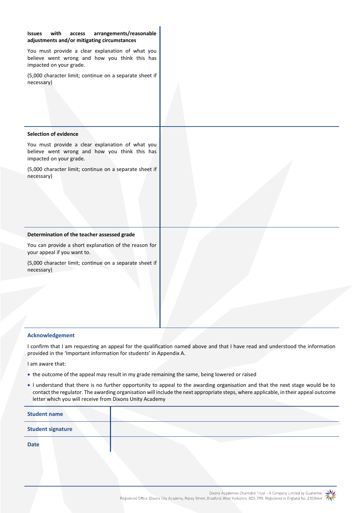| with<br>arrangements/reasonable<br><b>Issues</b><br>access<br>adjustments and/or mitigating circumstances                    |  |
|------------------------------------------------------------------------------------------------------------------------------|--|
| You must provide a clear explanation of what you<br>believe went wrong and how you think this has<br>impacted on your grade. |  |
| (5,000 character limit; continue on a separate sheet if<br>necessary)                                                        |  |
| <b>Selection of evidence</b>                                                                                                 |  |
| You must provide a clear explanation of what you<br>believe went wrong and how you think this has<br>impacted on your grade. |  |
| (5,000 character limit; continue on a separate sheet if<br>necessary)                                                        |  |
| Determination of the teacher assessed grade                                                                                  |  |
| You can provide a short explanation of the reason for<br>your appeal if you want to.                                         |  |
| (5,000 character limit; continue on a separate sheet if<br>necessary)                                                        |  |
|                                                                                                                              |  |
|                                                                                                                              |  |
|                                                                                                                              |  |
|                                                                                                                              |  |

## **Acknowledgement**

I confirm that I am requesting an appeal for the qualification named above and that I have read and understood the information provided in the 'Important information for students' in Appendix A.

I am aware that:

- the outcome of the appeal may result in my grade remaining the same, being lowered or raised
- I understand that there is no further opportunity to appeal to the awarding organisation and that the next stage would be to contact the regulator. The awarding organisation will include the next appropriate steps, where applicable, in their appeal outcome letter which you will receive from Dixons Unity Academy

| <b>Student name</b>      |  |
|--------------------------|--|
| <b>Student signature</b> |  |
| <b>Date</b>              |  |

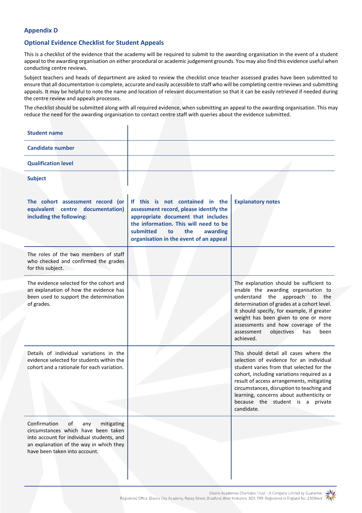# **Appendix D**

# **Optional Evidence Checklist for Student Appeals**

This is a checklist of the evidence that the academy will be required to submit to the awarding organisation in the event of a student appeal to the awarding organisation on either procedural or academic judgement grounds. You may also find this evidence useful when conducting centre reviews.

Subject teachers and heads of department are asked to review the checklist once teacher assessed grades have been submitted to ensure that all documentation is complete, accurate and easily accessible to staff who will be completing centre reviews and submitting appeals. It may be helpful to note the name and location of relevant documentation so that it can be easily retrieved if needed during the centre review and appeals processes.

The checklist should be submitted along with all required evidence, when submitting an appeal to the awarding organisation. This may reduce the need for the awarding organisation to contact centre staff with queries about the evidence submitted.

| <b>Student name</b>                                                                                                                                                                                     |                                                                                                                                                                                                                                          |                                                                                                                                                                                                                                                                                                                                                                         |
|---------------------------------------------------------------------------------------------------------------------------------------------------------------------------------------------------------|------------------------------------------------------------------------------------------------------------------------------------------------------------------------------------------------------------------------------------------|-------------------------------------------------------------------------------------------------------------------------------------------------------------------------------------------------------------------------------------------------------------------------------------------------------------------------------------------------------------------------|
| <b>Candidate number</b>                                                                                                                                                                                 |                                                                                                                                                                                                                                          |                                                                                                                                                                                                                                                                                                                                                                         |
| <b>Qualification level</b>                                                                                                                                                                              |                                                                                                                                                                                                                                          |                                                                                                                                                                                                                                                                                                                                                                         |
| <b>Subject</b>                                                                                                                                                                                          |                                                                                                                                                                                                                                          |                                                                                                                                                                                                                                                                                                                                                                         |
| The cohort assessment record (or<br>equivalent centre documentation)<br>including the following:                                                                                                        | If this is not contained in the<br>assessment record, please identify the<br>appropriate document that includes<br>the information. This will need to be<br>the<br>submitted<br>awarding<br>to<br>organisation in the event of an appeal | <b>Explanatory notes</b>                                                                                                                                                                                                                                                                                                                                                |
| The roles of the two members of staff<br>who checked and confirmed the grades<br>for this subject.                                                                                                      |                                                                                                                                                                                                                                          |                                                                                                                                                                                                                                                                                                                                                                         |
| The evidence selected for the cohort and<br>an explanation of how the evidence has<br>been used to support the determination<br>of grades.                                                              |                                                                                                                                                                                                                                          | The explanation should be sufficient to<br>enable the awarding organisation to<br>understand<br>approach to the<br>the<br>determination of grades at a cohort level.<br>It should specify, for example, if greater<br>weight has been given to one or more<br>assessments and how coverage of the<br>objectives<br>assessment<br>has<br>been<br>achieved.               |
| Details of individual variations in the<br>evidence selected for students within the<br>cohort and a rationale for each variation.                                                                      |                                                                                                                                                                                                                                          | This should detail all cases where the<br>selection of evidence for an individual<br>student varies from that selected for the<br>cohort, including variations required as a<br>result of access arrangements, mitigating<br>circumstances, disruption to teaching and<br>learning, concerns about authenticity or<br>because the student is a<br>private<br>candidate. |
| Confirmation<br>of<br>mitigating<br>any<br>circumstances which have been taken<br>into account for individual students, and<br>an explanation of the way in which they<br>have been taken into account. |                                                                                                                                                                                                                                          |                                                                                                                                                                                                                                                                                                                                                                         |

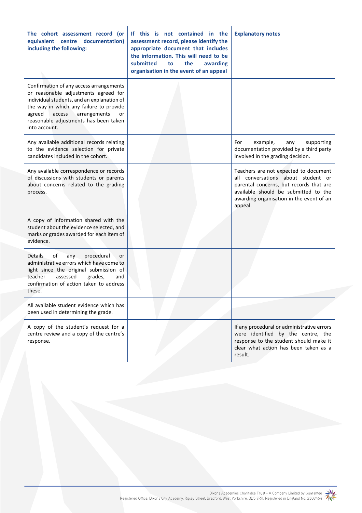| The cohort assessment record (or<br>equivalent centre documentation)<br>including the following:                                                                                                                                                                             | If this is not contained in the<br>assessment record, please identify the<br>appropriate document that includes<br>the information. This will need to be<br>submitted<br>the<br>awarding<br>to<br>organisation in the event of an appeal | <b>Explanatory notes</b>                                                                                                                                                                                              |
|------------------------------------------------------------------------------------------------------------------------------------------------------------------------------------------------------------------------------------------------------------------------------|------------------------------------------------------------------------------------------------------------------------------------------------------------------------------------------------------------------------------------------|-----------------------------------------------------------------------------------------------------------------------------------------------------------------------------------------------------------------------|
| Confirmation of any access arrangements<br>or reasonable adjustments agreed for<br>individual students, and an explanation of<br>the way in which any failure to provide<br>access<br>arrangements<br>agreed<br>or<br>reasonable adjustments has been taken<br>into account. |                                                                                                                                                                                                                                          |                                                                                                                                                                                                                       |
| Any available additional records relating<br>to the evidence selection for private<br>candidates included in the cohort.                                                                                                                                                     |                                                                                                                                                                                                                                          | For<br>example,<br>supporting<br>any<br>documentation provided by a third party<br>involved in the grading decision.                                                                                                  |
| Any available correspondence or records<br>of discussions with students or parents<br>about concerns related to the grading<br>process.                                                                                                                                      |                                                                                                                                                                                                                                          | Teachers are not expected to document<br>all conversations about student or<br>parental concerns, but records that are<br>available should be submitted to the<br>awarding organisation in the event of an<br>appeal. |
| A copy of information shared with the<br>student about the evidence selected, and<br>marks or grades awarded for each item of<br>evidence.                                                                                                                                   |                                                                                                                                                                                                                                          |                                                                                                                                                                                                                       |
| <b>Details</b><br>of<br>procedural<br>any<br>or<br>administrative errors which have come to<br>light since the original submission of<br>teacher<br>assessed<br>grades,<br>and<br>confirmation of action taken to address<br>these.                                          |                                                                                                                                                                                                                                          |                                                                                                                                                                                                                       |
| All available student evidence which has<br>been used in determining the grade.                                                                                                                                                                                              |                                                                                                                                                                                                                                          |                                                                                                                                                                                                                       |
| A copy of the student's request for a<br>centre review and a copy of the centre's<br>response.                                                                                                                                                                               |                                                                                                                                                                                                                                          | If any procedural or administrative errors<br>were identified by the centre, the<br>response to the student should make it<br>clear what action has been taken as a<br>result.                                        |